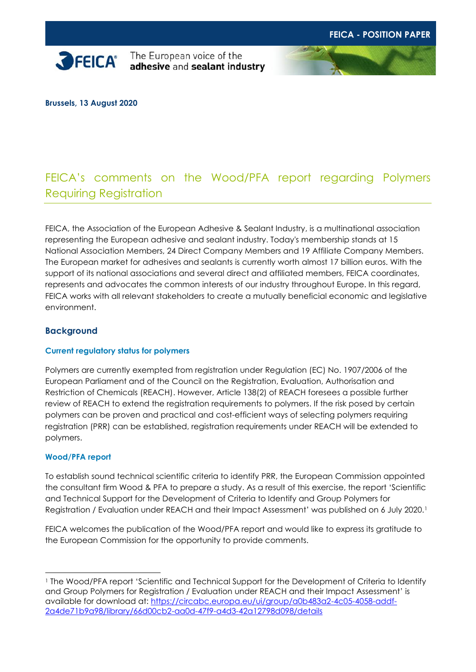

**SPEICA**<sup>\*</sup> The European voice of the adhesive and sealant industry



**Brussels, 13 August 2020**

# FEICA's comments on the Wood/PFA report regarding Polymers Requiring Registration

FEICA, the Association of the European Adhesive & Sealant Industry, is a multinational association representing the European adhesive and sealant industry. Today's membership stands at 15 National Association Members, 24 Direct Company Members and 19 Affiliate Company Members. The European market for adhesives and sealants is currently worth almost 17 billion euros. With the support of its national associations and several direct and affiliated members, FEICA coordinates, represents and advocates the common interests of our industry throughout Europe. In this regard, FEICA works with all relevant stakeholders to create a mutually beneficial economic and legislative environment.

## **Background**

#### **Current regulatory status for polymers**

Polymers are currently exempted from registration under Regulation (EC) No. 1907/2006 of the European Parliament and of the Council on the Registration, Evaluation, Authorisation and Restriction of Chemicals (REACH). However, Article 138(2) of REACH foresees a possible further review of REACH to extend the registration requirements to polymers. If the risk posed by certain polymers can be proven and practical and cost-efficient ways of selecting polymers requiring registration (PRR) can be established, registration requirements under REACH will be extended to polymers.

#### **Wood/PFA report**

To establish sound technical scientific criteria to identify PRR, the European Commission appointed the consultant firm Wood & PFA to prepare a study. As a result of this exercise, the report 'Scientific and Technical Support for the Development of Criteria to Identify and Group Polymers for Registration / Evaluation under REACH and their Impact Assessment' was published on 6 July 2020.<sup>1</sup>

FEICA welcomes the publication of the Wood/PFA report and would like to express its gratitude to the European Commission for the opportunity to provide comments.

<sup>1</sup> The Wood/PFA report 'Scientific and Technical Support for the Development of Criteria to Identify and Group Polymers for Registration / Evaluation under REACH and their Impact Assessment' is available for download at: [https://circabc.europa.eu/ui/group/a0b483a2-4c05-4058-addf-](https://circabc.europa.eu/ui/group/a0b483a2-4c05-4058-addf-2a4de71b9a98/library/66d00cb2-aa0d-47f9-a4d3-42a12798d098/details)[2a4de71b9a98/library/66d00cb2-aa0d-47f9-a4d3-42a12798d098/details](https://circabc.europa.eu/ui/group/a0b483a2-4c05-4058-addf-2a4de71b9a98/library/66d00cb2-aa0d-47f9-a4d3-42a12798d098/details)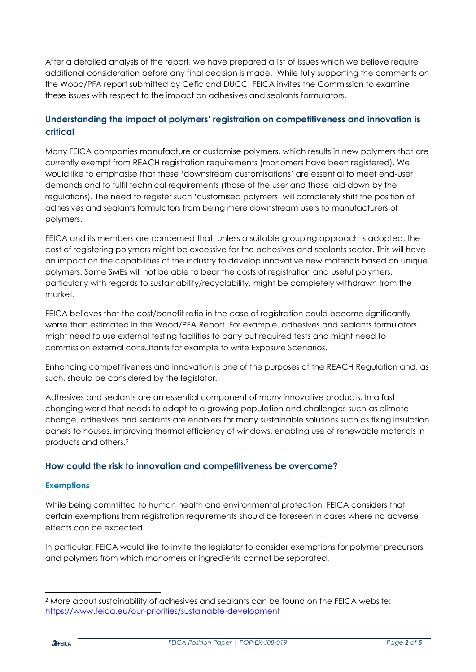After a detailed analysis of the report, we have prepared a list of issues which we believe require additional consideration before any final decision is made. While fully supporting the comments on the Wood/PFA report submitted by Cefic and DUCC, FEICA invites the Commission to examine these issues with respect to the impact on adhesives and sealants formulators.

## **Understanding the impact of polymers' registration on competitiveness and innovation is critical**

Many FEICA companies manufacture or customise polymers, which results in new polymers that are currently exempt from REACH registration requirements (monomers have been registered). We would like to emphasise that these 'downstream customisations' are essential to meet end-user demands and to fulfil technical requirements (those of the user and those laid down by the regulations). The need to register such 'customised polymers' will completely shift the position of adhesives and sealants formulators from being mere downstream users to manufacturers of polymers.

FEICA and its members are concerned that, unless a suitable grouping approach is adopted, the cost of registering polymers might be excessive for the adhesives and sealants sector. This will have an impact on the capabilities of the industry to develop innovative new materials based on unique polymers. Some SMEs will not be able to bear the costs of registration and useful polymers, particularly with regards to sustainability/recyclability, might be completely withdrawn from the market.

FEICA believes that the cost/benefit ratio in the case of registration could become significantly worse than estimated in the Wood/PFA Report. For example, adhesives and sealants formulators might need to use external testing facilities to carry out required tests and might need to commission external consultants for example to write Exposure Scenarios.

Enhancing competitiveness and innovation is one of the purposes of the REACH Regulation and, as such, should be considered by the legislator.

Adhesives and sealants are an essential component of many innovative products. In a fast changing world that needs to adapt to a growing population and challenges such as climate change, adhesives and sealants are enablers for many sustainable solutions such as fixing insulation panels to houses, improving thermal efficiency of windows, enabling use of renewable materials in products and others.<sup>2</sup>

## **How could the risk to innovation and competitiveness be overcome?**

#### **Exemptions**

While being committed to human health and environmental protection, FEICA considers that certain exemptions from registration requirements should be foreseen in cases where no adverse effects can be expected.

In particular, FEICA would like to invite the legislator to consider exemptions for polymer precursors and polymers from which monomers or ingredients cannot be separated.

<sup>2</sup> More about sustainability of adhesives and sealants can be found on the FEICA website: <https://www.feica.eu/our-priorities/sustainable-development>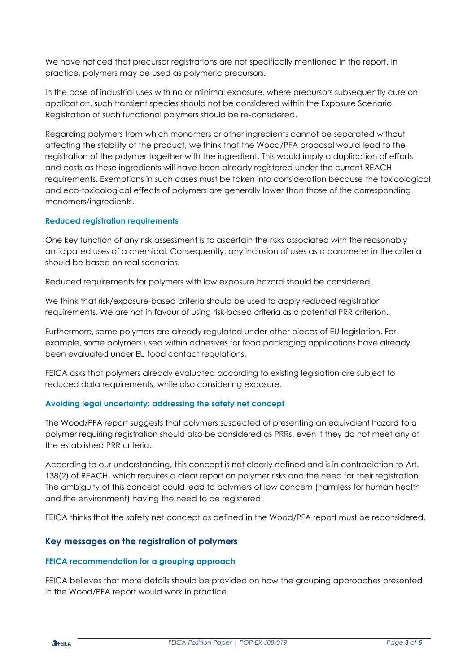We have noticed that precursor registrations are not specifically mentioned in the report. In practice, polymers may be used as polymeric precursors.

In the case of industrial uses with no or minimal exposure, where precursors subsequently cure on application, such transient species should not be considered within the Exposure Scenario. Registration of such functional polymers should be re-considered.

Regarding polymers from which monomers or other ingredients cannot be separated without affecting the stability of the product, we think that the Wood/PFA proposal would lead to the registration of the polymer together with the ingredient. This would imply a duplication of efforts and costs as these ingredients will have been already registered under the current REACH requirements. Exemptions in such cases must be taken into consideration because the toxicological and eco-toxicological effects of polymers are generally lower than those of the corresponding monomers/ingredients.

#### **Reduced registration requirements**

One key function of any risk assessment is to ascertain the risks associated with the reasonably anticipated uses of a chemical. Consequently, any inclusion of uses as a parameter in the criteria should be based on real scenarios.

Reduced requirements for polymers with low exposure hazard should be considered.

We think that risk/exposure-based criteria should be used to apply reduced registration requirements. We are not in favour of using risk-based criteria as a potential PRR criterion.

Furthermore, some polymers are already regulated under other pieces of EU legislation. For example, some polymers used within adhesives for food packaging applications have already been evaluated under EU food contact regulations.

FEICA asks that polymers already evaluated according to existing legislation are subject to reduced data requirements, while also considering exposure.

#### **Avoiding legal uncertainty: addressing the safety net concept**

The Wood/PFA report suggests that polymers suspected of presenting an equivalent hazard to a polymer requiring registration should also be considered as PRRs, even if they do not meet any of the established PRR criteria.

According to our understanding, this concept is not clearly defined and is in contradiction to Art. 138(2) of REACH, which requires a clear report on polymer risks and the need for their registration. The ambiguity of this concept could lead to polymers of low concern (harmless for human health and the environment) having the need to be registered.

FEICA thinks that the safety net concept as defined in the Wood/PFA report must be reconsidered.

#### **Key messages on the registration of polymers**

#### **FEICA recommendation for a grouping approach**

FEICA believes that more details should be provided on how the grouping approaches presented in the Wood/PFA report would work in practice.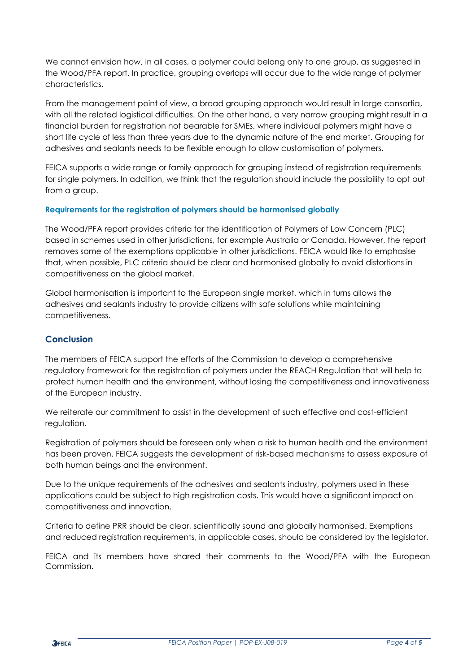We cannot envision how, in all cases, a polymer could belong only to one group, as suggested in the Wood/PFA report. In practice, grouping overlaps will occur due to the wide range of polymer characteristics.

From the management point of view, a broad grouping approach would result in large consortia, with all the related logistical difficulties. On the other hand, a very narrow grouping might result in a financial burden for registration not bearable for SMEs, where individual polymers might have a short life cycle of less than three years due to the dynamic nature of the end market. Grouping for adhesives and sealants needs to be flexible enough to allow customisation of polymers.

FEICA supports a wide range or family approach for grouping instead of registration requirements for single polymers. In addition, we think that the regulation should include the possibility to opt out from a group.

#### **Requirements for the registration of polymers should be harmonised globally**

The Wood/PFA report provides criteria for the identification of Polymers of Low Concern (PLC) based in schemes used in other jurisdictions, for example Australia or Canada. However, the report removes some of the exemptions applicable in other jurisdictions. FEICA would like to emphasise that, when possible, PLC criteria should be clear and harmonised globally to avoid distortions in competitiveness on the global market.

Global harmonisation is important to the European single market, which in turns allows the adhesives and sealants industry to provide citizens with safe solutions while maintaining competitiveness.

## **Conclusion**

The members of FEICA support the efforts of the Commission to develop a comprehensive regulatory framework for the registration of polymers under the REACH Regulation that will help to protect human health and the environment, without losing the competitiveness and innovativeness of the European industry.

We reiterate our commitment to assist in the development of such effective and cost-efficient regulation.

Registration of polymers should be foreseen only when a risk to human health and the environment has been proven. FEICA suggests the development of risk-based mechanisms to assess exposure of both human beings and the environment.

Due to the unique requirements of the adhesives and sealants industry, polymers used in these applications could be subject to high registration costs. This would have a significant impact on competitiveness and innovation.

Criteria to define PRR should be clear, scientifically sound and globally harmonised. Exemptions and reduced registration requirements, in applicable cases, should be considered by the legislator.

FEICA and its members have shared their comments to the Wood/PFA with the European Commission.